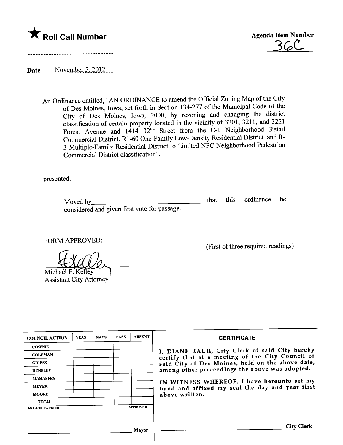## \* Roll Call Number Agenda Item Number



Date  $\frac{\text{November 5, 2012}}{\text{m}}$ 

An Ordinance entitled, "AN ORDINANCE to amend the Official Zoning Map of the City of Des Moines, Iowa, set forth in Section 134-277 of the Muncipal Code of the City of Des Moines, Iowa, 2000, by rezoning and changing the district classification of certain property located in the vicinity of 3201, 3211, and 3221 Forest Avenue and  $1414 \overline{)32}^{\text{nd}}$  Street from the C-1 Neighborhood Retail Commercial District, R1-60 One-Family Low-Density Residential District, and R-3 Multiple-Family Residential District to Limited NPC Neighborhood Pedestrian Commercial District classification",

presented.

Moved by considered and given first vote for passage. that this ordinance be

FORM APPROVED:

Michael F. Kelley Assistant City Attorney .

(First of three required readings)

| <b>COUNCIL ACTION</b> | <b>YEAS</b> | <b>NAYS</b> | <b>PASS</b> | <b>ABSENT</b>   | <b>CERTIFICATE</b>                                                                                                                                                                                      |  |  |
|-----------------------|-------------|-------------|-------------|-----------------|---------------------------------------------------------------------------------------------------------------------------------------------------------------------------------------------------------|--|--|
| <b>COWNIE</b>         |             |             |             |                 |                                                                                                                                                                                                         |  |  |
| <b>COLEMAN</b>        |             |             |             |                 | I, DIANE RAUH, City Clerk of said City hereby<br>certify that at a meeting of the City Council of<br>said City of Des Moines, held on the above date,<br>among other proceedings the above was adopted. |  |  |
| <b>GRIESS</b>         |             |             |             |                 |                                                                                                                                                                                                         |  |  |
| <b>HENSLEY</b>        |             |             |             |                 |                                                                                                                                                                                                         |  |  |
| <b>MAHAFFEY</b>       |             |             |             |                 | IN WITNESS WHEREOF, I have hereunto set my                                                                                                                                                              |  |  |
| <b>MEYER</b>          |             |             |             |                 | hand and affixed my seal the day and year first<br>above written.                                                                                                                                       |  |  |
| <b>MOORE</b>          |             |             |             |                 |                                                                                                                                                                                                         |  |  |
| <b>TOTAL</b>          |             |             |             |                 |                                                                                                                                                                                                         |  |  |
| <b>MOTION CARRIED</b> |             |             |             | <b>APPROVED</b> |                                                                                                                                                                                                         |  |  |
|                       |             |             |             |                 |                                                                                                                                                                                                         |  |  |
|                       |             |             |             | Mavor           | <b>City Clerk</b>                                                                                                                                                                                       |  |  |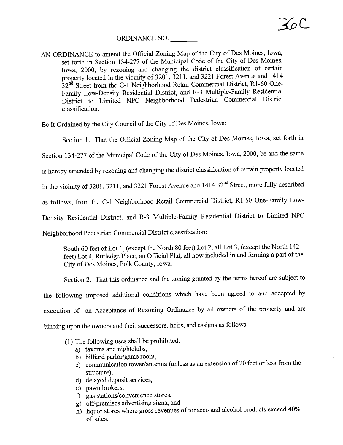## ORDINANCE NO.

AN ORDINANCE to amend the Official Zonig Map of the City of Des Moines, Iowa, set forth in Section 134-277 of the Muncipal Code of the City of Des Moines, Iowa, 2000, by rezoning and changing the district classification of certain property located in the vicinity of 3201, 3211, and 3221 Forest Avenue and 1414  $32<sup>nd</sup>$  Street from the C-1 Neighborhood Retail Commercial District, R1-60 One-Family Low-Density Residential District, and R-3 Multiple-Family Residential District to Limited NPC Neighborhood Pedestrian Commercial District classification.

Be It Ordained by the City Council of the City of Des Moines, Iowa:

Section 1. That the Official Zoning Map of the City of Des Moines, Iowa, set forth in

Section 134-277 of the Muncipal Code of the City of Des Moines, Iowa, 2000, be and the same

is hereby amended by rezoning and changing the district classification of certain property located

in the vicinity of 3201, 3211, and 3221 Forest Avenue and 1414 32<sup>nd</sup> Street, more fully described

as follows, from the C-1 Neighborhood Retail Commercial District, R1-60 One-Family Low-

Density Residential District, and R-3 Multiple-Family Residential District to Limited NPC

Neighborhood Pedestrian Commercial District classification:

South 60 feet of Lot 1, (except the North 80 feet) Lot 2, all Lot 3, (except the North 142 feet) Lot 4, Rutledge Place, an Official Plat, all now included in and forming a part of the City of Des Moines, Polk County, Iowa.

Section 2. That this ordinance and the zoning granted by the terms hereof are subject to the followig imposed additional conditions which have been agreed to and accepted by execution of an Acceptance of Rezoning Ordinance by all owners of the property and are binding upon the owners and their successors, heirs, and assigns as follows:

- (1) The followig uses shall be prohibited:
	- a) taverns and nightclubs,
	- b) biliard parlor/game room,
	- c) communication tower/antenna (unless as an extension of 20 feet or less from the structure).
	- d) delayed deposit services,
	- e) pawn brokers,
	-
	- f) gas stations/convenience stores,<br>g) off-premises advertising signs, and
	- g) off-premises advertising signs, and h) liquor stores where gross revenues of tobacco and alcohol products exceed 40% of sales.